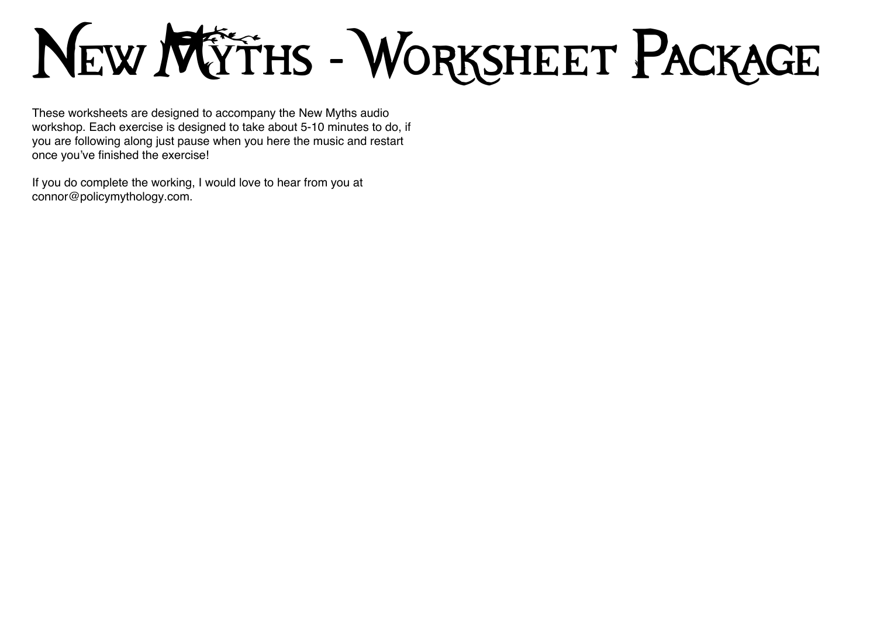# New Mÿths - Worksheet Package

These worksheets are designed to accompany the New Myths audio workshop. Each exercise is designed to take about 5-10 minutes to do, if you are following along just pause when you here the music and restart once you've finished the exercise!

If you do complete the working, I would love to hear from you at connor@policymythology.com.

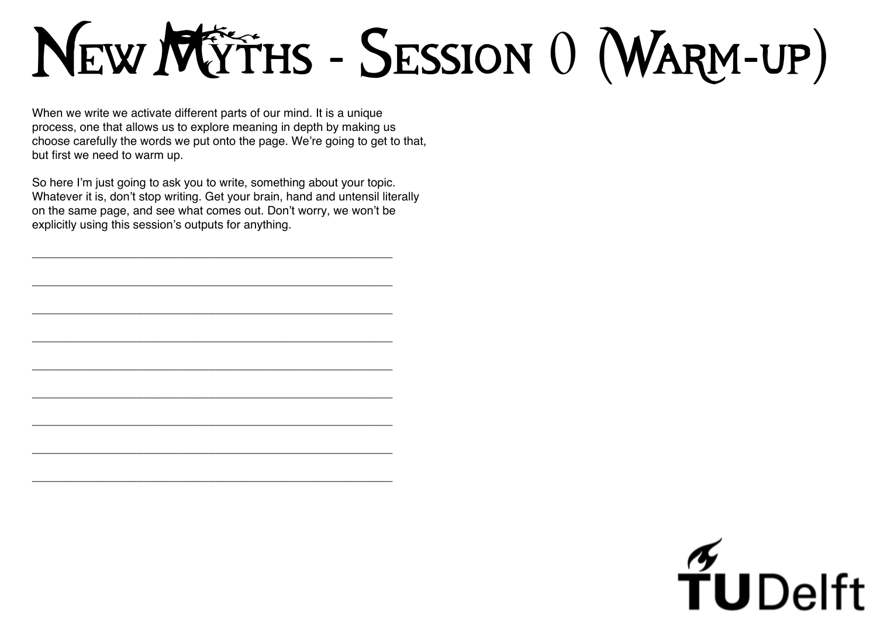# New MYTHS - SESSION 0 (WARM-UP)

When we write we activate different parts of our mind. It is a unique process, one that allows us to explore meaning in depth by making us choose carefully the words we put onto the page. We're going to get to that, but first we need to warm up.

So here I'm just going to ask you to write, something about your topic. Whatever it is, don't stop writing. Get your brain, hand and untensil literally on the same page, and see what comes out. Don't worry, we won't be explicitly using this session's outputs for anything.

**\_\_\_\_\_\_\_\_\_\_\_\_\_\_\_\_\_\_\_\_\_\_\_\_\_\_\_\_\_\_\_\_\_\_\_\_\_\_\_\_\_\_\_\_\_\_\_\_\_\_\_\_\_\_\_**

**\_\_\_\_\_\_\_\_\_\_\_\_\_\_\_\_\_\_\_\_\_\_\_\_\_\_\_\_\_\_\_\_\_\_\_\_\_\_\_\_\_\_\_\_\_\_\_\_\_\_\_\_\_\_\_**

**\_\_\_\_\_\_\_\_\_\_\_\_\_\_\_\_\_\_\_\_\_\_\_\_\_\_\_\_\_\_\_\_\_\_\_\_\_\_\_\_\_\_\_\_\_\_\_\_\_\_\_\_\_\_\_**

**\_\_\_\_\_\_\_\_\_\_\_\_\_\_\_\_\_\_\_\_\_\_\_\_\_\_\_\_\_\_\_\_\_\_\_\_\_\_\_\_\_\_\_\_\_\_\_\_\_\_\_\_\_\_\_**

**\_\_\_\_\_\_\_\_\_\_\_\_\_\_\_\_\_\_\_\_\_\_\_\_\_\_\_\_\_\_\_\_\_\_\_\_\_\_\_\_\_\_\_\_\_\_\_\_\_\_\_\_\_\_\_**

**\_\_\_\_\_\_\_\_\_\_\_\_\_\_\_\_\_\_\_\_\_\_\_\_\_\_\_\_\_\_\_\_\_\_\_\_\_\_\_\_\_\_\_\_\_\_\_\_\_\_\_\_\_\_\_**

**\_\_\_\_\_\_\_\_\_\_\_\_\_\_\_\_\_\_\_\_\_\_\_\_\_\_\_\_\_\_\_\_\_\_\_\_\_\_\_\_\_\_\_\_\_\_\_\_\_\_\_\_\_\_\_**

**\_\_\_\_\_\_\_\_\_\_\_\_\_\_\_\_\_\_\_\_\_\_\_\_\_\_\_\_\_\_\_\_\_\_\_\_\_\_\_\_\_\_\_\_\_\_\_\_\_\_\_\_\_\_\_**

**\_\_\_\_\_\_\_\_\_\_\_\_\_\_\_\_\_\_\_\_\_\_\_\_\_\_\_\_\_\_\_\_\_\_\_\_\_\_\_\_\_\_\_\_\_\_\_\_\_\_\_\_\_\_\_**

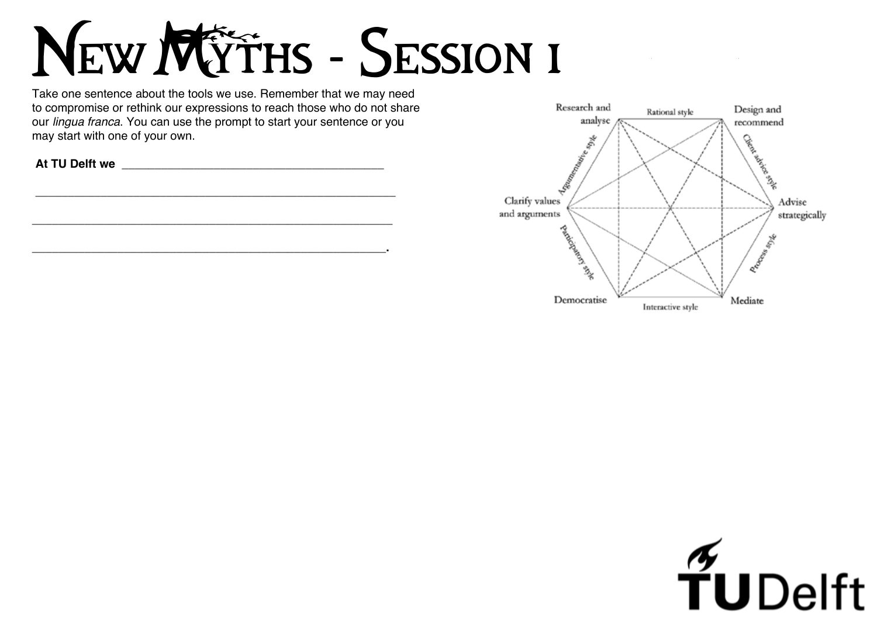### NEW MYTHS - SESSION I

Take one sentence about the tools we use. Remember that we may need to compromise or rethink our expressions to reach those who do not share our *lingua franca*. You can use the prompt to start your sentence or you may start with one of your own.

 **At TU Delft we \_\_\_\_\_\_\_\_\_\_\_\_\_\_\_\_\_\_\_\_\_\_\_\_\_\_\_\_\_\_\_\_\_\_\_\_\_\_\_\_**



 $\mathcal{L}^{\mathcal{L}}(x)$  and  $\mathcal{L}^{\mathcal{L}}(x)$  and  $\mathcal{L}^{\mathcal{L}}(x)$  are the set of the set of the set of  $x$ 



 **\_\_\_\_\_\_\_\_\_\_\_\_\_\_\_\_\_\_\_\_\_\_\_\_\_\_\_\_\_\_\_\_\_\_\_\_\_\_\_\_\_\_\_\_\_\_\_\_\_\_\_\_\_\_\_**

**\_\_\_\_\_\_\_\_\_\_\_\_\_\_\_\_\_\_\_\_\_\_\_\_\_\_\_\_\_\_\_\_\_\_\_\_\_\_\_\_\_\_\_\_\_\_\_\_\_\_\_\_\_\_\_**

**\_\_\_\_\_\_\_\_\_\_\_\_\_\_\_\_\_\_\_\_\_\_\_\_\_\_\_\_\_\_\_\_\_\_\_\_\_\_\_\_\_\_\_\_\_\_\_\_\_\_\_\_\_\_.**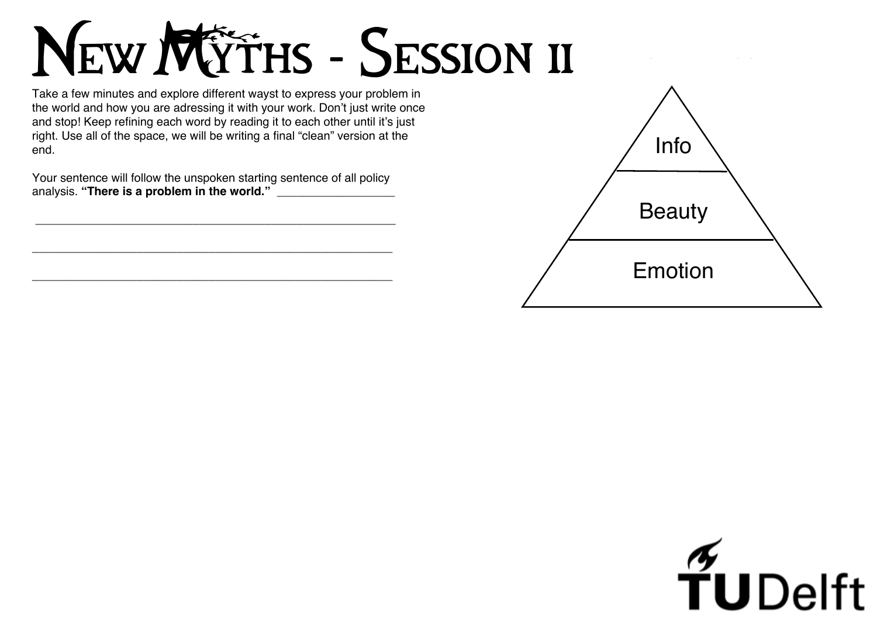## New MYTHS - SESSION II

Take a few minutes and explore different wayst to express your problem in the world and how you are adressing it with your work. Don't just write once and stop! Keep refining each word by reading it to each other until it's just right. Use all of the space, we will be writing a final "clean" version at the end.

Your sentence will follow the unspoken starting sentence of all policy analysis. **"There is a problem in the world." \_\_\_\_\_\_\_\_\_\_\_\_\_\_\_\_\_\_**

 **\_\_\_\_\_\_\_\_\_\_\_\_\_\_\_\_\_\_\_\_\_\_\_\_\_\_\_\_\_\_\_\_\_\_\_\_\_\_\_\_\_\_\_\_\_\_\_\_\_\_\_\_\_\_\_**

**\_\_\_\_\_\_\_\_\_\_\_\_\_\_\_\_\_\_\_\_\_\_\_\_\_\_\_\_\_\_\_\_\_\_\_\_\_\_\_\_\_\_\_\_\_\_\_\_\_\_\_\_\_\_\_**

**\_\_\_\_\_\_\_\_\_\_\_\_\_\_\_\_\_\_\_\_\_\_\_\_\_\_\_\_\_\_\_\_\_\_\_\_\_\_\_\_\_\_\_\_\_\_\_\_\_\_\_\_\_\_\_**



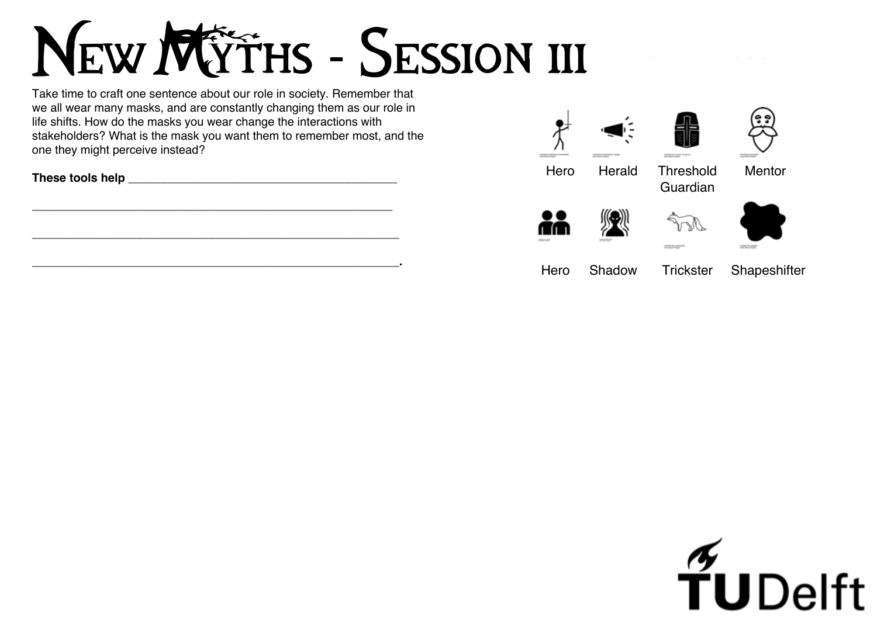## New MOTHS - SESSION III

Take time to craft one sentence about our role in society. Remember that we all wear many masks, and are constantly changing them as our role in life shifts. How do the masks you wear change the interactions with stakeholders? What is the mask you want them to remember most, and the one they might perceive instead?

| These tools help |  |
|------------------|--|
|                  |  |





1 I 1



**Hero** 



\_\_\_\_\_\_\_\_\_\_\_\_\_\_\_\_\_\_\_\_\_\_\_\_\_\_\_\_\_\_\_\_\_\_\_\_\_\_\_\_\_\_\_\_\_\_\_\_\_\_\_\_\_\_\_

\_\_\_\_\_\_\_\_\_\_\_\_\_\_\_\_\_\_\_\_\_\_\_\_\_\_\_\_\_\_\_\_\_\_\_\_\_\_\_\_\_\_\_\_\_\_\_\_\_\_\_\_\_\_\_\_

\_\_\_\_\_\_\_\_\_\_\_\_\_\_\_\_\_\_\_\_\_\_\_\_\_\_\_\_\_\_\_\_\_\_\_\_\_\_\_\_\_\_\_\_\_\_\_\_\_\_\_\_\_\_\_\_**.**

### Hero Herald Threshold Guardian



**Installation** 



### Mentor



### Shadow Trickster Shapeshifter

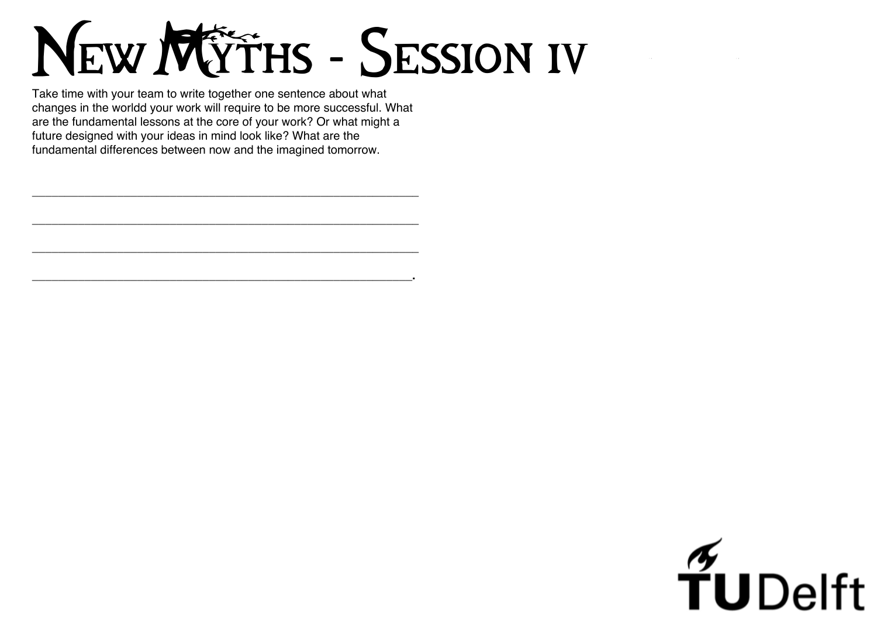## New MYTHS - SESSION IV

Take time with your team to write together one sentence about what changes in the worldd your work will require to be more successful. What are the fundamental lessons at the core of your work? Or what might a future designed with your ideas in mind look like? What are the fundamental differences between now and the imagined tomorrow.

\_\_\_\_\_\_\_\_\_\_\_\_\_\_\_\_\_\_\_\_\_\_\_\_\_\_\_\_\_\_\_\_\_\_\_\_\_\_\_\_\_\_\_\_\_\_\_\_\_\_\_\_\_\_\_\_\_\_\_

\_\_\_\_\_\_\_\_\_\_\_\_\_\_\_\_\_\_\_\_\_\_\_\_\_\_\_\_\_\_\_\_\_\_\_\_\_\_\_\_\_\_\_\_\_\_\_\_\_\_\_\_\_\_\_\_\_\_\_

\_\_\_\_\_\_\_\_\_\_\_\_\_\_\_\_\_\_\_\_\_\_\_\_\_\_\_\_\_\_\_\_\_\_\_\_\_\_\_\_\_\_\_\_\_\_\_\_\_\_\_\_\_\_\_\_\_\_\_

\_\_\_\_\_\_\_\_\_\_\_\_\_\_\_\_\_\_\_\_\_\_\_\_\_\_\_\_\_\_\_\_\_\_\_\_\_\_\_\_\_\_\_\_\_\_\_\_\_\_\_\_\_\_\_\_\_\_**.**

# $\frac{1}{2}$ UDelft